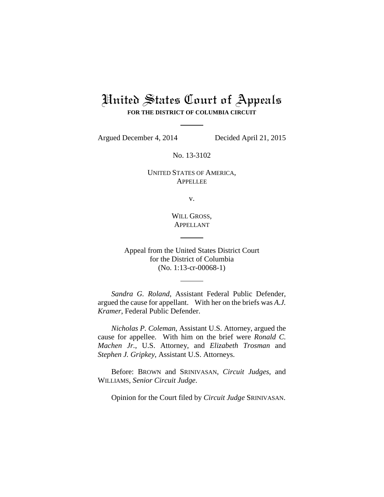## United States Court of Appeals **FOR THE DISTRICT OF COLUMBIA CIRCUIT**

Argued December 4, 2014 Decided April 21, 2015

No. 13-3102

UNITED STATES OF AMERICA, APPELLEE

v.

WILL GROSS, APPELLANT

Appeal from the United States District Court for the District of Columbia (No. 1:13-cr-00068-1)

*Sandra G. Roland*, Assistant Federal Public Defender, argued the cause for appellant. With her on the briefs was *A.J. Kramer*, Federal Public Defender.

*Nicholas P. Coleman*, Assistant U.S. Attorney, argued the cause for appellee. With him on the brief were *Ronald C. Machen Jr.*, U.S. Attorney, and *Elizabeth Trosman* and *Stephen J. Gripkey*, Assistant U.S. Attorneys.

Before: BROWN and SRINIVASAN, *Circuit Judges*, and WILLIAMS, *Senior Circuit Judge*.

Opinion for the Court filed by *Circuit Judge* SRINIVASAN.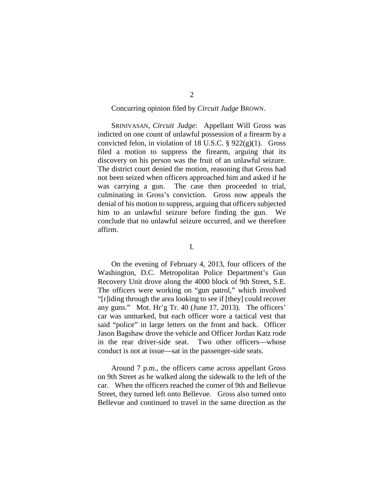## Concurring opinion filed by *Circuit Judge* BROWN.

SRINIVASAN, *Circuit Judge*: Appellant Will Gross was indicted on one count of unlawful possession of a firearm by a convicted felon, in violation of 18 U.S.C.  $\S$  922(g)(1). Gross filed a motion to suppress the firearm, arguing that its discovery on his person was the fruit of an unlawful seizure. The district court denied the motion, reasoning that Gross had not been seized when officers approached him and asked if he was carrying a gun. The case then proceeded to trial, culminating in Gross's conviction. Gross now appeals the denial of his motion to suppress, arguing that officers subjected him to an unlawful seizure before finding the gun. We conclude that no unlawful seizure occurred, and we therefore affirm.

I.

On the evening of February 4, 2013, four officers of the Washington, D.C. Metropolitan Police Department's Gun Recovery Unit drove along the 4000 block of 9th Street, S.E. The officers were working on "gun patrol," which involved "[r]iding through the area looking to see if [they] could recover any guns." Mot. Hr'g Tr. 40 (June 17, 2013). The officers' car was unmarked, but each officer wore a tactical vest that said "police" in large letters on the front and back. Officer Jason Bagshaw drove the vehicle and Officer Jordan Katz rode in the rear driver-side seat. Two other officers—whose conduct is not at issue—sat in the passenger-side seats.

Around 7 p.m., the officers came across appellant Gross on 9th Street as he walked along the sidewalk to the left of the car. When the officers reached the corner of 9th and Bellevue Street, they turned left onto Bellevue. Gross also turned onto Bellevue and continued to travel in the same direction as the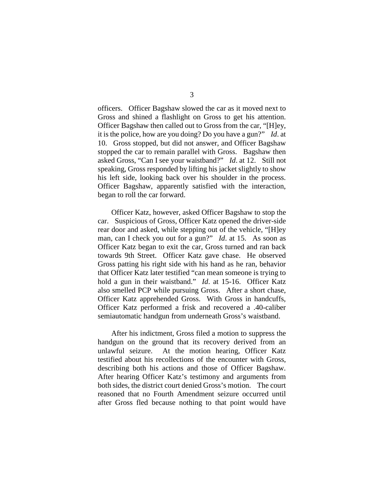officers. Officer Bagshaw slowed the car as it moved next to Gross and shined a flashlight on Gross to get his attention. Officer Bagshaw then called out to Gross from the car, "[H]ey, it is the police, how are you doing? Do you have a gun?" *Id*. at 10. Gross stopped, but did not answer, and Officer Bagshaw stopped the car to remain parallel with Gross. Bagshaw then asked Gross, "Can I see your waistband?" *Id*. at 12. Still not speaking, Gross responded by lifting his jacket slightly to show his left side, looking back over his shoulder in the process. Officer Bagshaw, apparently satisfied with the interaction, began to roll the car forward.

Officer Katz, however, asked Officer Bagshaw to stop the car. Suspicious of Gross, Officer Katz opened the driver-side rear door and asked, while stepping out of the vehicle, "[H]ey man, can I check you out for a gun?" *Id*. at 15. As soon as Officer Katz began to exit the car, Gross turned and ran back towards 9th Street. Officer Katz gave chase. He observed Gross patting his right side with his hand as he ran, behavior that Officer Katz later testified "can mean someone is trying to hold a gun in their waistband." *Id*. at 15-16. Officer Katz also smelled PCP while pursuing Gross. After a short chase, Officer Katz apprehended Gross. With Gross in handcuffs, Officer Katz performed a frisk and recovered a .40-caliber semiautomatic handgun from underneath Gross's waistband.

After his indictment, Gross filed a motion to suppress the handgun on the ground that its recovery derived from an unlawful seizure. At the motion hearing, Officer Katz testified about his recollections of the encounter with Gross, describing both his actions and those of Officer Bagshaw. After hearing Officer Katz's testimony and arguments from both sides, the district court denied Gross's motion. The court reasoned that no Fourth Amendment seizure occurred until after Gross fled because nothing to that point would have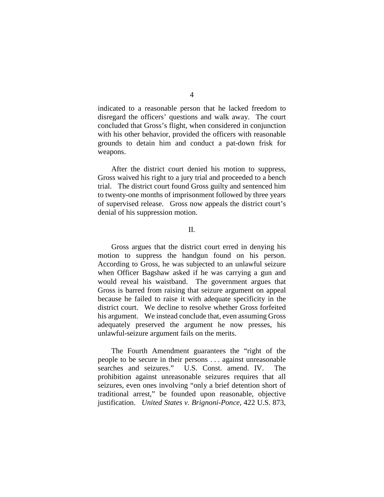indicated to a reasonable person that he lacked freedom to disregard the officers' questions and walk away. The court concluded that Gross's flight, when considered in conjunction with his other behavior, provided the officers with reasonable grounds to detain him and conduct a pat-down frisk for weapons.

After the district court denied his motion to suppress, Gross waived his right to a jury trial and proceeded to a bench trial. The district court found Gross guilty and sentenced him to twenty-one months of imprisonment followed by three years of supervised release. Gross now appeals the district court's denial of his suppression motion.

## II.

Gross argues that the district court erred in denying his motion to suppress the handgun found on his person. According to Gross, he was subjected to an unlawful seizure when Officer Bagshaw asked if he was carrying a gun and would reveal his waistband. The government argues that Gross is barred from raising that seizure argument on appeal because he failed to raise it with adequate specificity in the district court. We decline to resolve whether Gross forfeited his argument. We instead conclude that, even assuming Gross adequately preserved the argument he now presses, his unlawful-seizure argument fails on the merits.

The Fourth Amendment guarantees the "right of the people to be secure in their persons . . . against unreasonable searches and seizures." U.S. Const. amend. IV. The prohibition against unreasonable seizures requires that all seizures, even ones involving "only a brief detention short of traditional arrest," be founded upon reasonable, objective justification. *United States v. Brignoni-Ponce*, 422 U.S. 873,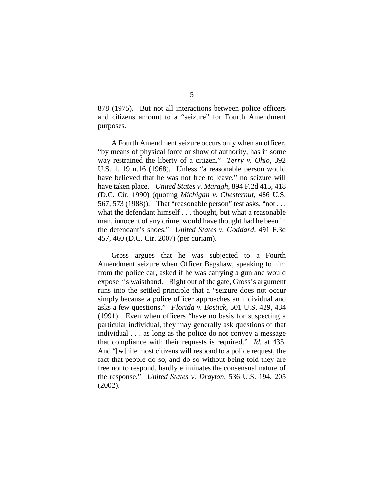878 (1975). But not all interactions between police officers and citizens amount to a "seizure" for Fourth Amendment purposes.

A Fourth Amendment seizure occurs only when an officer, "by means of physical force or show of authority, has in some way restrained the liberty of a citizen." *Terry v. Ohio*, 392 U.S. 1, 19 n.16 (1968). Unless "a reasonable person would have believed that he was not free to leave," no seizure will have taken place. *United States v. Maragh*, 894 F.2d 415, 418 (D.C. Cir. 1990) (quoting *Michigan v. Chesternut*, 486 U.S. 567, 573 (1988)). That "reasonable person" test asks, "not . . . what the defendant himself . . . thought, but what a reasonable man, innocent of any crime, would have thought had he been in the defendant's shoes." *United States v. Goddard*, 491 F.3d 457, 460 (D.C. Cir. 2007) (per curiam).

Gross argues that he was subjected to a Fourth Amendment seizure when Officer Bagshaw, speaking to him from the police car, asked if he was carrying a gun and would expose his waistband. Right out of the gate, Gross's argument runs into the settled principle that a "seizure does not occur simply because a police officer approaches an individual and asks a few questions." *Florida v. Bostick*, 501 U.S. 429, 434 (1991). Even when officers "have no basis for suspecting a particular individual, they may generally ask questions of that individual . . . as long as the police do not convey a message that compliance with their requests is required." *Id.* at 435. And "[w]hile most citizens will respond to a police request, the fact that people do so, and do so without being told they are free not to respond, hardly eliminates the consensual nature of the response." *United States v. Drayton*, 536 U.S. 194, 205 (2002).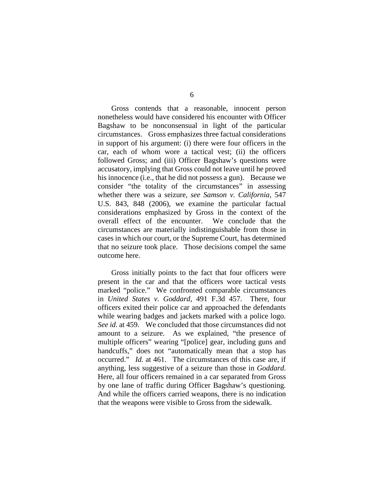Gross contends that a reasonable, innocent person nonetheless would have considered his encounter with Officer Bagshaw to be nonconsensual in light of the particular circumstances. Gross emphasizes three factual considerations in support of his argument: (i) there were four officers in the car, each of whom wore a tactical vest; (ii) the officers followed Gross; and (iii) Officer Bagshaw's questions were accusatory, implying that Gross could not leave until he proved his innocence (i.e., that he did not possess a gun). Because we consider "the totality of the circumstances" in assessing whether there was a seizure, *see Samson v. California*, 547 U.S. 843, 848 (2006), we examine the particular factual considerations emphasized by Gross in the context of the overall effect of the encounter. We conclude that the circumstances are materially indistinguishable from those in cases in which our court, or the Supreme Court, has determined that no seizure took place. Those decisions compel the same outcome here.

Gross initially points to the fact that four officers were present in the car and that the officers wore tactical vests marked "police." We confronted comparable circumstances in *United States v. Goddard*, 491 F.3d 457. There, four officers exited their police car and approached the defendants while wearing badges and jackets marked with a police logo. *See id.* at 459. We concluded that those circumstances did not amount to a seizure. As we explained, "the presence of multiple officers" wearing "[police] gear, including guns and handcuffs," does not "automatically mean that a stop has occurred." *Id.* at 461. The circumstances of this case are, if anything, less suggestive of a seizure than those in *Goddard*. Here, all four officers remained in a car separated from Gross by one lane of traffic during Officer Bagshaw's questioning. And while the officers carried weapons, there is no indication that the weapons were visible to Gross from the sidewalk.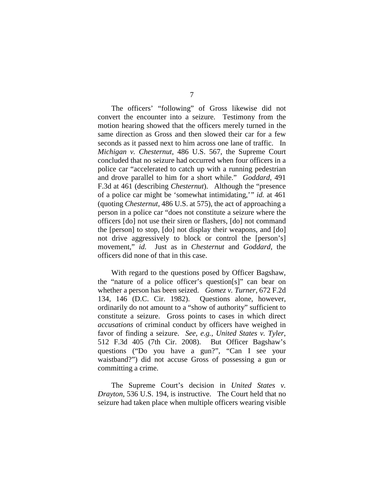The officers' "following" of Gross likewise did not convert the encounter into a seizure. Testimony from the motion hearing showed that the officers merely turned in the same direction as Gross and then slowed their car for a few seconds as it passed next to him across one lane of traffic. In *Michigan v. Chesternut*, 486 U.S. 567, the Supreme Court concluded that no seizure had occurred when four officers in a police car "accelerated to catch up with a running pedestrian and drove parallel to him for a short while." *Goddard*, 491 F.3d at 461 (describing *Chesternut*). Although the "presence of a police car might be 'somewhat intimidating,'" *id.* at 461 (quoting *Chesternut*, 486 U.S. at 575), the act of approaching a person in a police car "does not constitute a seizure where the officers [do] not use their siren or flashers, [do] not command the [person] to stop, [do] not display their weapons, and [do] not drive aggressively to block or control the [person's] movement," *id.* Just as in *Chesternut* and *Goddard*, the officers did none of that in this case.

With regard to the questions posed by Officer Bagshaw, the "nature of a police officer's question[s]" can bear on whether a person has been seized. *Gomez v. Turner*, 672 F.2d 134, 146 (D.C. Cir. 1982). Questions alone, however, ordinarily do not amount to a "show of authority" sufficient to constitute a seizure. Gross points to cases in which direct *accusations* of criminal conduct by officers have weighed in favor of finding a seizure. *See, e.g.*, *United States v. Tyler*, 512 F.3d 405 (7th Cir. 2008). But Officer Bagshaw's questions ("Do you have a gun?", "Can I see your waistband?") did not accuse Gross of possessing a gun or committing a crime.

The Supreme Court's decision in *United States v. Drayton*, 536 U.S. 194, is instructive. The Court held that no seizure had taken place when multiple officers wearing visible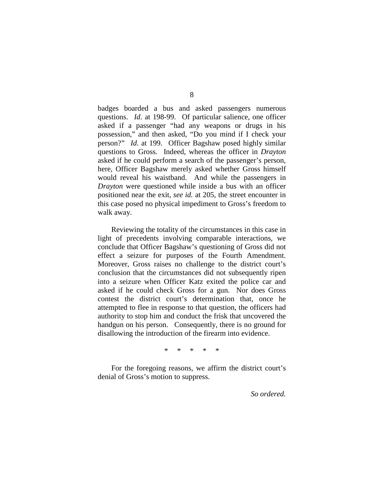badges boarded a bus and asked passengers numerous questions. *Id*. at 198-99. Of particular salience, one officer asked if a passenger "had any weapons or drugs in his possession," and then asked, "Do you mind if I check your person?" *Id*. at 199. Officer Bagshaw posed highly similar questions to Gross. Indeed, whereas the officer in *Drayton*  asked if he could perform a search of the passenger's person, here, Officer Bagshaw merely asked whether Gross himself would reveal his waistband. And while the passengers in *Drayton* were questioned while inside a bus with an officer positioned near the exit, *see id.* at 205, the street encounter in this case posed no physical impediment to Gross's freedom to walk away.

Reviewing the totality of the circumstances in this case in light of precedents involving comparable interactions, we conclude that Officer Bagshaw's questioning of Gross did not effect a seizure for purposes of the Fourth Amendment. Moreover, Gross raises no challenge to the district court's conclusion that the circumstances did not subsequently ripen into a seizure when Officer Katz exited the police car and asked if he could check Gross for a gun. Nor does Gross contest the district court's determination that, once he attempted to flee in response to that question, the officers had authority to stop him and conduct the frisk that uncovered the handgun on his person. Consequently, there is no ground for disallowing the introduction of the firearm into evidence.

\* \* \* \* \*

For the foregoing reasons, we affirm the district court's denial of Gross's motion to suppress.

*So ordered.*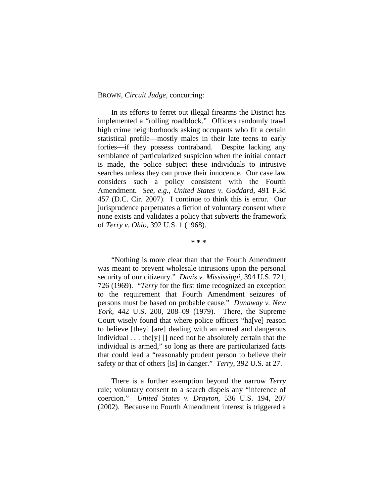## BROWN, *Circuit Judge*, concurring:

In its efforts to ferret out illegal firearms the District has implemented a "rolling roadblock." Officers randomly trawl high crime neighborhoods asking occupants who fit a certain statistical profile—mostly males in their late teens to early forties—if they possess contraband. Despite lacking any semblance of particularized suspicion when the initial contact is made, the police subject these individuals to intrusive searches unless they can prove their innocence. Our case law considers such a policy consistent with the Fourth Amendment. *See, e.g.*, *United States v. Goddard*, 491 F.3d 457 (D.C. Cir. 2007). I continue to think this is error. Our jurisprudence perpetuates a fiction of voluntary consent where none exists and validates a policy that subverts the framework of *Terry v. Ohio*, 392 U.S. 1 (1968).

**\* \* \***

"Nothing is more clear than that the Fourth Amendment was meant to prevent wholesale intrusions upon the personal security of our citizenry." *Davis v. Mississippi*, 394 U.S. 721, 726 (1969). "*Terry* for the first time recognized an exception to the requirement that Fourth Amendment seizures of persons must be based on probable cause." *Dunaway v. New York*, 442 U.S. 200, 208–09 (1979). There, the Supreme Court wisely found that where police officers "ha[ve] reason to believe [they] [are] dealing with an armed and dangerous individual . . . the[y] [] need not be absolutely certain that the individual is armed," so long as there are particularized facts that could lead a "reasonably prudent person to believe their safety or that of others [is] in danger." *Terry*, 392 U.S. at 27.

There is a further exemption beyond the narrow *Terry* rule; voluntary consent to a search dispels any "inference of coercion." *United States v. Drayton*, 536 U.S. 194, 207 (2002). Because no Fourth Amendment interest is triggered a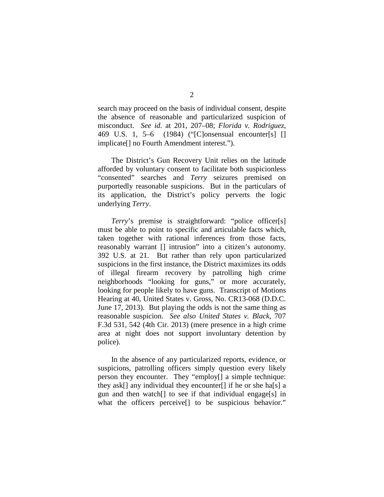search may proceed on the basis of individual consent, despite the absence of reasonable and particularized suspicion of misconduct. *See id.* at 201, 207–08; *Florida v. Rodriguez*, 469 U.S. 1, 5–6 (1984) ("[C]onsensual encounter[s] [] implicate[] no Fourth Amendment interest.").

The District's Gun Recovery Unit relies on the latitude afforded by voluntary consent to facilitate both suspicionless "consented" searches and *Terry* seizures premised on purportedly reasonable suspicions. But in the particulars of its application, the District's policy perverts the logic underlying *Terry*.

*Terry*'s premise is straightforward: "police officer[s] must be able to point to specific and articulable facts which, taken together with rational inferences from those facts, reasonably warrant [] intrusion" into a citizen's autonomy. 392 U.S. at 21. But rather than rely upon particularized suspicions in the first instance, the District maximizes its odds of illegal firearm recovery by patrolling high crime neighborhoods "looking for guns," or more accurately, looking for people likely to have guns. Transcript of Motions Hearing at 40, United States v. Gross, No. CR13-068 (D.D.C. June 17, 2013). But playing the odds is not the same thing as reasonable suspicion. *See also United States v. Black*, 707 F.3d 531, 542 (4th Cir. 2013) (mere presence in a high crime area at night does not support involuntary detention by police).

In the absence of any particularized reports, evidence, or suspicions, patrolling officers simply question every likely person they encounter. They "employ[] a simple technique: they ask[] any individual they encounter[] if he or she ha[s] a gun and then watch[] to see if that individual engage[s] in what the officers perceive<sup>[]</sup> to be suspicious behavior."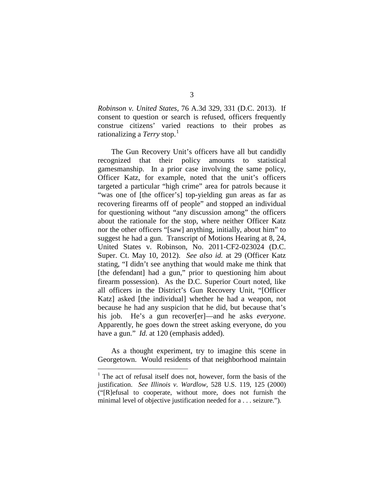*Robinson v. United States*, 76 A.3d 329, 331 (D.C. 2013). If consent to question or search is refused, officers frequently construe citizens' varied reactions to their probes as rationalizing a *Terry* stop. 1

The Gun Recovery Unit's officers have all but candidly recognized that their policy amounts to statistical gamesmanship. In a prior case involving the same policy, Officer Katz, for example, noted that the unit's officers targeted a particular "high crime" area for patrols because it "was one of [the officer's] top-yielding gun areas as far as recovering firearms off of people" and stopped an individual for questioning without "any discussion among" the officers about the rationale for the stop, where neither Officer Katz nor the other officers "[saw] anything, initially, about him" to suggest he had a gun. Transcript of Motions Hearing at 8, 24, United States v. Robinson, No. 2011-CF2-023024 (D.C. Super. Ct. May 10, 2012). *See also id.* at 29 (Officer Katz stating, "I didn't see anything that would make me think that [the defendant] had a gun," prior to questioning him about firearm possession). As the D.C. Superior Court noted, like all officers in the District's Gun Recovery Unit, "[Officer Katz] asked [the individual] whether he had a weapon, not because he had any suspicion that he did, but because that's his job. He's a gun recover[er]—and he asks *everyone*. Apparently, he goes down the street asking everyone, do you have a gun." *Id.* at 120 (emphasis added).

As a thought experiment, try to imagine this scene in Georgetown. Would residents of that neighborhood maintain

 $1$  The act of refusal itself does not, however, form the basis of the justification. *See Illinois v. Wardlow*, 528 U.S. 119, 125 (2000) ("[R]efusal to cooperate, without more, does not furnish the minimal level of objective justification needed for a . . . seizure.").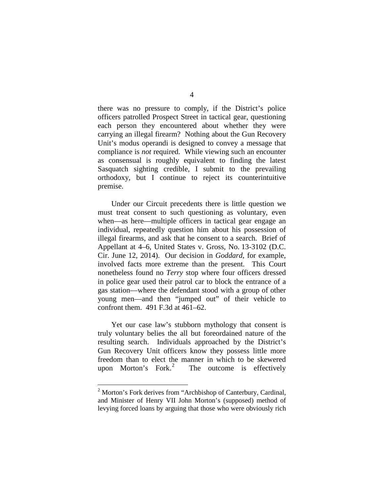there was no pressure to comply, if the District's police officers patrolled Prospect Street in tactical gear, questioning each person they encountered about whether they were carrying an illegal firearm? Nothing about the Gun Recovery Unit's modus operandi is designed to convey a message that compliance is *not* required. While viewing such an encounter as consensual is roughly equivalent to finding the latest Sasquatch sighting credible, I submit to the prevailing orthodoxy, but I continue to reject its counterintuitive premise.

Under our Circuit precedents there is little question we must treat consent to such questioning as voluntary, even when—as here—multiple officers in tactical gear engage an individual, repeatedly question him about his possession of illegal firearms, and ask that he consent to a search.Brief of Appellant at 4–6, United States v. Gross, No. 13-3102 (D.C. Cir. June 12, 2014). Our decision in *Goddard*, for example, involved facts more extreme than the present. This Court nonetheless found no *Terry* stop where four officers dressed in police gear used their patrol car to block the entrance of a gas station—where the defendant stood with a group of other young men—and then "jumped out" of their vehicle to confront them. 491 F.3d at 461–62.

Yet our case law's stubborn mythology that consent is truly voluntary belies the all but foreordained nature of the resulting search. Individuals approached by the District's Gun Recovery Unit officers know they possess little more freedom than to elect the manner in which to be skewered upon Morton's Fork.<sup>2</sup> The outcome is effectively

<sup>&</sup>lt;sup>2</sup> Morton's Fork derives from "Archbishop of Canterbury, Cardinal, and Minister of Henry VII John Morton's (supposed) method of levying forced loans by arguing that those who were obviously rich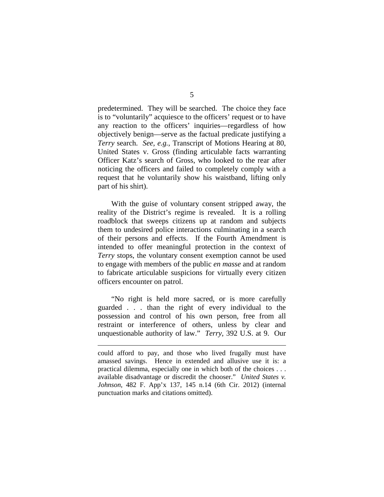predetermined. They will be searched. The choice they face is to "voluntarily" acquiesce to the officers' request or to have any reaction to the officers' inquiries—regardless of how objectively benign—serve as the factual predicate justifying a *Terry* search. *See, e.g.*, Transcript of Motions Hearing at 80, United States v. Gross (finding articulable facts warranting Officer Katz's search of Gross, who looked to the rear after noticing the officers and failed to completely comply with a request that he voluntarily show his waistband, lifting only part of his shirt).

With the guise of voluntary consent stripped away, the reality of the District's regime is revealed. It is a rolling roadblock that sweeps citizens up at random and subjects them to undesired police interactions culminating in a search of their persons and effects. If the Fourth Amendment is intended to offer meaningful protection in the context of *Terry* stops, the voluntary consent exemption cannot be used to engage with members of the public *en masse* and at random to fabricate articulable suspicions for virtually every citizen officers encounter on patrol.

"No right is held more sacred, or is more carefully guarded . . . than the right of every individual to the possession and control of his own person, free from all restraint or interference of others, unless by clear and unquestionable authority of law." *Terry*, 392 U.S. at 9. Our

 $\overline{a}$ 

could afford to pay, and those who lived frugally must have amassed savings. Hence in extended and allusive use it is: a practical dilemma, especially one in which both of the choices . . . available disadvantage or discredit the chooser." *United States v. Johnson*, 482 F. App'x 137, 145 n.14 (6th Cir. 2012) (internal punctuation marks and citations omitted).